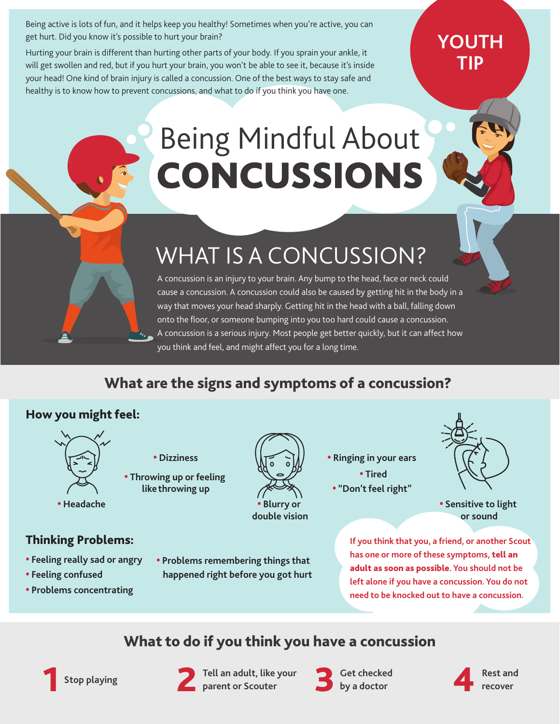Being active is lots of fun, and it helps keep you healthy! Sometimes when you're active, you can get hurt. Did you know it's possible to hurt your brain?

Hurting your brain is different than hurting other parts of your body. If you sprain your ankle, it will get swollen and red, but if you hurt your brain, you won't be able to see it, because it's inside your head! One kind of brain injury is called a concussion. One of the best ways to stay safe and healthy is to know how to prevent concussions, and what to do if you think you have one.

### **YOUTH TIP**

# **Being Mindful About CONCUSSIONS**

# WHAT IS A CONCUSSION?

A concussion is an injury to your brain. Any bump to the head, face or neck could cause a concussion. A concussion could also be caused by getting hit in the body in a way that moves your head sharply. Getting hit in the head with a ball, falling down onto the floor, or someone bumping into you too hard could cause a concussion. A concussion is a serious injury. Most people get better quickly, but it can affect how you think and feel, and might affect you for a long time.

#### What are the signs and symptoms of a concussion?

#### How you might feel:



- **• Dizziness**
- **• Throwing up or feeling likethrowing up**

**• Headache**

Thinking Problems:

**• Problems concentrating**

 **• Feeling confused** 

**• Feeling really sad or angry**

- 
- 



**double vision**

**• Ringing in your ears • Tired • "Don't feel right"**



**• Sensitive to light or sound**

**If you think that you, a friend, or another Scout has one or more of these symptoms,** tell an adult as soon as possible**. You should not be left alone if you have a concussion. You do not need to be knocked out to have a concussion.**

#### What to do if you think you have a concussion





**Tell an adult, like your parent or Scouter Rest and** 2 3 4 **recover Stop playing** 1

**• Problems remembering things that happened right before you got hurt**

> **Get checked by a doctor**